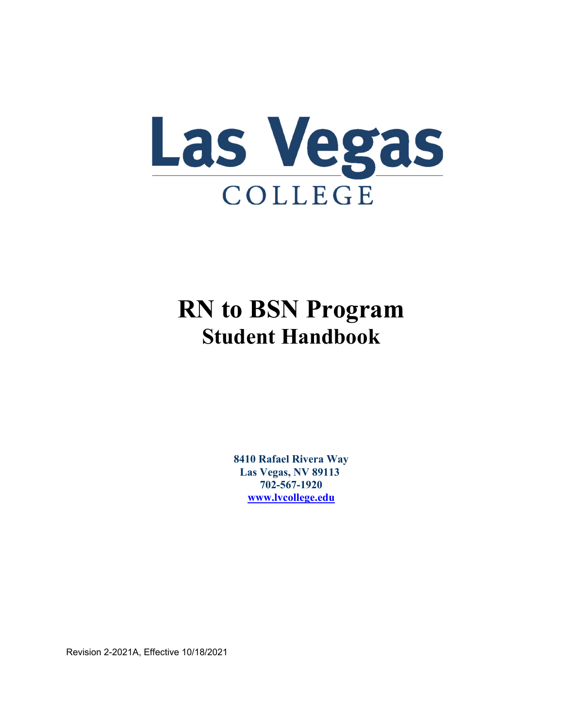

# **RN to BSN Program Student Handbook**

**8410 Rafael Rivera Way Las Vegas, NV 89113 702-567-1920 www.lvcollege.edu**

Revision 2-2021A, Effective 10/18/2021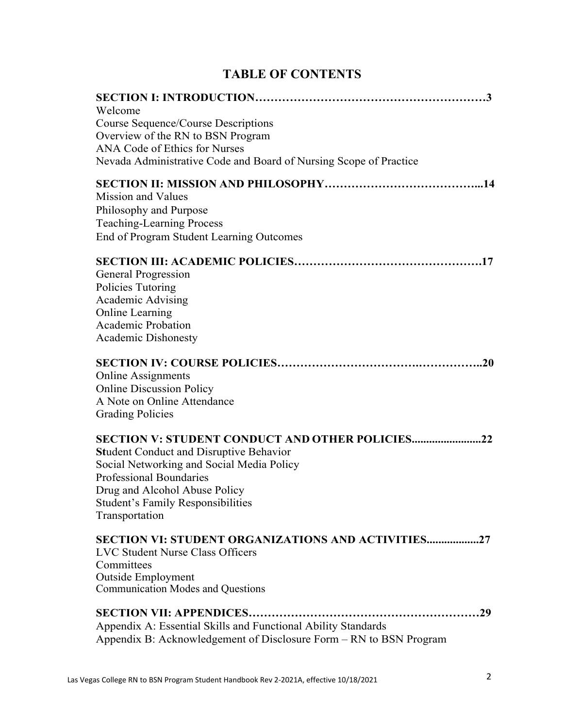|  |  | <b>TABLE OF CONTENTS</b> |
|--|--|--------------------------|
|--|--|--------------------------|

| Welcome<br>Course Sequence/Course Descriptions<br>Overview of the RN to BSN Program<br>ANA Code of Ethics for Nurses<br>Nevada Administrative Code and Board of Nursing Scope of Practice                                                                                              |
|----------------------------------------------------------------------------------------------------------------------------------------------------------------------------------------------------------------------------------------------------------------------------------------|
| Mission and Values<br>Philosophy and Purpose<br><b>Teaching-Learning Process</b><br>End of Program Student Learning Outcomes                                                                                                                                                           |
| General Progression<br>Policies Tutoring<br>Academic Advising<br><b>Online Learning</b><br><b>Academic Probation</b><br><b>Academic Dishonesty</b>                                                                                                                                     |
| <b>Online Assignments</b><br><b>Online Discussion Policy</b><br>A Note on Online Attendance<br><b>Grading Policies</b>                                                                                                                                                                 |
| <b>SECTION V: STUDENT CONDUCT AND OTHER POLICIES22</b><br><b>Student Conduct and Disruptive Behavior</b><br>Social Networking and Social Media Policy<br><b>Professional Boundaries</b><br>Drug and Alcohol Abuse Policy<br><b>Student's Family Responsibilities</b><br>Transportation |
| <b>SECTION VI: STUDENT ORGANIZATIONS AND ACTIVITIES27</b><br><b>LVC Student Nurse Class Officers</b><br>Committees<br><b>Outside Employment</b><br><b>Communication Modes and Questions</b>                                                                                            |
| Appendix A: Essential Skills and Functional Ability Standards<br>Appendix B: Acknowledgement of Disclosure Form - RN to BSN Program                                                                                                                                                    |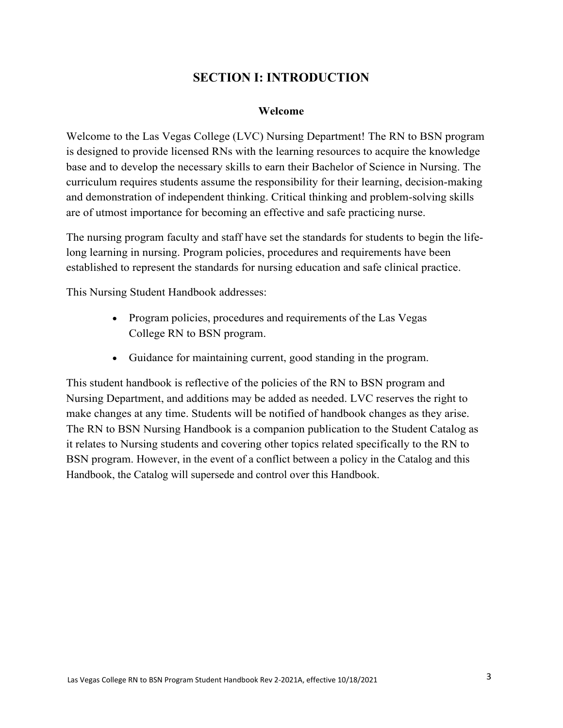# **SECTION I: INTRODUCTION**

#### **Welcome**

Welcome to the Las Vegas College (LVC) Nursing Department! The RN to BSN program is designed to provide licensed RNs with the learning resources to acquire the knowledge base and to develop the necessary skills to earn their Bachelor of Science in Nursing. The curriculum requires students assume the responsibility for their learning, decision-making and demonstration of independent thinking. Critical thinking and problem-solving skills are of utmost importance for becoming an effective and safe practicing nurse.

The nursing program faculty and staff have set the standards for students to begin the lifelong learning in nursing. Program policies, procedures and requirements have been established to represent the standards for nursing education and safe clinical practice.

This Nursing Student Handbook addresses:

- Program policies, procedures and requirements of the Las Vegas College RN to BSN program.
- Guidance for maintaining current, good standing in the program.

This student handbook is reflective of the policies of the RN to BSN program and Nursing Department, and additions may be added as needed. LVC reserves the right to make changes at any time. Students will be notified of handbook changes as they arise. The RN to BSN Nursing Handbook is a companion publication to the Student Catalog as it relates to Nursing students and covering other topics related specifically to the RN to BSN program. However, in the event of a conflict between a policy in the Catalog and this Handbook, the Catalog will supersede and control over this Handbook.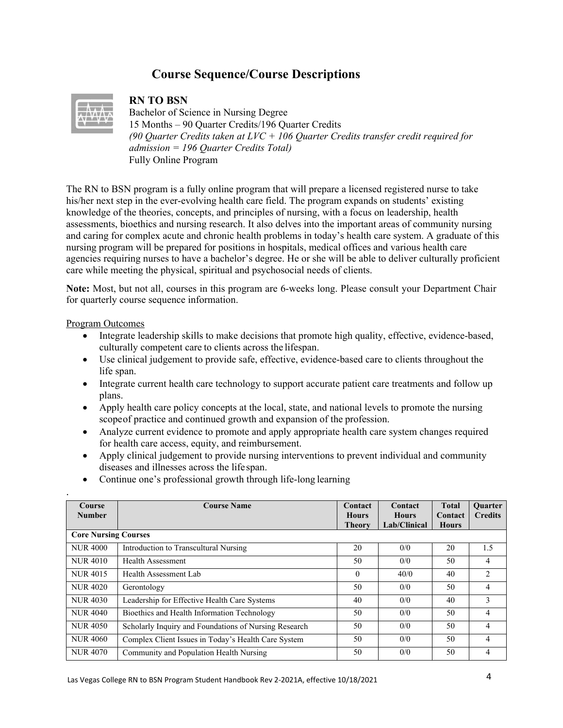# **Course Sequence/Course Descriptions**



#### **RN TO BSN**

Bachelor of Science in Nursing Degree 15 Months – 90 Quarter Credits/196 Quarter Credits *(90 Quarter Credits taken at LVC + 106 Quarter Credits transfer credit required for admission = 196 Quarter Credits Total)* Fully Online Program

The RN to BSN program is a fully online program that will prepare a licensed registered nurse to take his/her next step in the ever-evolving health care field. The program expands on students' existing knowledge of the theories, concepts, and principles of nursing, with a focus on leadership, health assessments, bioethics and nursing research. It also delves into the important areas of community nursing and caring for complex acute and chronic health problems in today's health care system. A graduate of this nursing program will be prepared for positions in hospitals, medical offices and various health care agencies requiring nurses to have a bachelor's degree. He or she will be able to deliver culturally proficient care while meeting the physical, spiritual and psychosocial needs of clients.

**Note:** Most, but not all, courses in this program are 6-weeks long. Please consult your Department Chair for quarterly course sequence information.

#### Program Outcomes

.

- Integrate leadership skills to make decisions that promote high quality, effective, evidence-based, culturally competent care to clients across the lifespan.
- Use clinical judgement to provide safe, effective, evidence-based care to clients throughout the life span.
- Integrate current health care technology to support accurate patient care treatments and follow up plans.
- Apply health care policy concepts at the local, state, and national levels to promote the nursing scope of practice and continued growth and expansion of the profession.
- Analyze current evidence to promote and apply appropriate health care system changes required for health care access, equity, and reimbursement.
- Apply clinical judgement to provide nursing interventions to prevent individual and community diseases and illnesses across the life span.
- Continue one's professional growth through life-long learning

| <b>Course</b><br><b>Number</b> | <b>Course Name</b>                                    | Contact<br><b>Hours</b> | Contact<br><b>Hours</b> | <b>Total</b><br>Contact | <b>Ouarter</b><br><b>Credits</b> |
|--------------------------------|-------------------------------------------------------|-------------------------|-------------------------|-------------------------|----------------------------------|
|                                |                                                       | <b>Theory</b>           | Lab/Clinical            | <b>Hours</b>            |                                  |
| <b>Core Nursing Courses</b>    |                                                       |                         |                         |                         |                                  |
| <b>NUR 4000</b>                | Introduction to Transcultural Nursing                 | 20                      | 0/0                     | 20                      | 1.5                              |
| <b>NUR 4010</b>                | Health Assessment                                     | 50                      | 0/0                     | 50                      | 4                                |
| <b>NUR4015</b>                 | Health Assessment Lab                                 | $\theta$                | 40/0                    | 40                      | $\overline{c}$                   |
| <b>NUR 4020</b>                | Gerontology                                           | 50                      | 0/0                     | 50                      | 4                                |
| <b>NUR4030</b>                 | Leadership for Effective Health Care Systems          | 40                      | 0/0                     | 40                      | 3                                |
| <b>NUR 4040</b>                | Bioethics and Health Information Technology           | 50                      | 0/0                     | 50                      | 4                                |
| <b>NUR 4050</b>                | Scholarly Inquiry and Foundations of Nursing Research | 50                      | 0/0                     | 50                      | 4                                |
| <b>NUR 4060</b>                | Complex Client Issues in Today's Health Care System   | 50                      | 0/0                     | 50                      | 4                                |
| <b>NUR 4070</b>                | Community and Population Health Nursing               | 50                      | 0/0                     | 50                      | 4                                |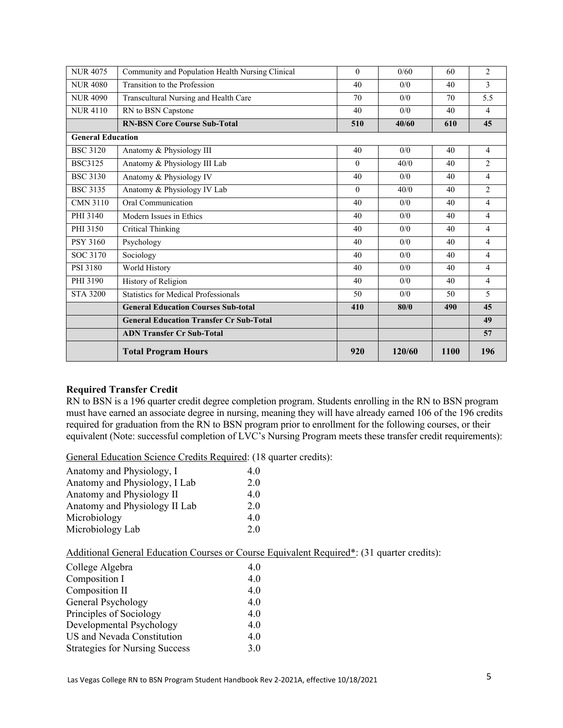| <b>NUR 4075</b>          | Community and Population Health Nursing Clinical | $\theta$ | 0/60   | 60   | $\overline{c}$ |
|--------------------------|--------------------------------------------------|----------|--------|------|----------------|
| <b>NUR 4080</b>          | Transition to the Profession                     | 40       | 0/0    | 40   | 3              |
| <b>NUR 4090</b>          | Transcultural Nursing and Health Care            | 70       | 0/0    | 70   | 5.5            |
| <b>NUR4110</b>           | RN to BSN Capstone                               | 40       | 0/0    | 40   | $\overline{4}$ |
|                          | <b>RN-BSN Core Course Sub-Total</b>              | 510      | 40/60  | 610  | 45             |
| <b>General Education</b> |                                                  |          |        |      |                |
| <b>BSC 3120</b>          | Anatomy & Physiology III                         | 40       | 0/0    | 40   | $\overline{4}$ |
| <b>BSC3125</b>           | Anatomy & Physiology III Lab                     | $\theta$ | 40/0   | 40   | $\overline{c}$ |
| <b>BSC 3130</b>          | Anatomy & Physiology IV                          | 40       | 0/0    | 40   | $\overline{4}$ |
| <b>BSC 3135</b>          | Anatomy & Physiology IV Lab                      | $\theta$ | 40/0   | 40   | $\overline{c}$ |
| <b>CMN 3110</b>          | Oral Communication                               | 40       | 0/0    | 40   | 4              |
| PHI 3140                 | Modern Issues in Ethics                          | 40       | 0/0    | 40   | $\overline{4}$ |
| PHI 3150                 | Critical Thinking                                | 40       | 0/0    | 40   | 4              |
| <b>PSY 3160</b>          | Psychology                                       | 40       | 0/0    | 40   | 4              |
| SOC 3170                 | Sociology                                        | 40       | 0/0    | 40   | $\overline{4}$ |
| PSI 3180                 | World History                                    | 40       | 0/0    | 40   | 4              |
| PHI 3190                 | History of Religion                              | 40       | 0/0    | 40   | 4              |
| <b>STA 3200</b>          | Statistics for Medical Professionals             | 50       | 0/0    | 50   | 5              |
|                          | <b>General Education Courses Sub-total</b>       | 410      | 80/0   | 490  | 45             |
|                          | <b>General Education Transfer Cr Sub-Total</b>   |          |        |      | 49             |
|                          | <b>ADN Transfer Cr Sub-Total</b>                 |          |        |      | 57             |
|                          | <b>Total Program Hours</b>                       | 920      | 120/60 | 1100 | 196            |

#### **Required Transfer Credit**

RN to BSN is a 196 quarter credit degree completion program. Students enrolling in the RN to BSN program must have earned an associate degree in nursing, meaning they will have already earned 106 of the 196 credits required for graduation from the RN to BSN program prior to enrollment for the following courses, or their equivalent (Note: successful completion of LVC's Nursing Program meets these transfer credit requirements):

General Education Science Credits Required: (18 quarter credits):

| Anatomy and Physiology, I     | 4.0 |
|-------------------------------|-----|
| Anatomy and Physiology, I Lab | 2.0 |
| Anatomy and Physiology II     | 4.0 |
| Anatomy and Physiology II Lab | 2.0 |
| Microbiology                  | 4.0 |
| Microbiology Lab              | 2.0 |

Additional General Education Courses or Course Equivalent Required\*: (31 quarter credits):

| College Algebra                       | 4.0 |
|---------------------------------------|-----|
| Composition I                         | 4.0 |
| Composition II                        | 4.0 |
| General Psychology                    | 4.0 |
| Principles of Sociology               | 4.0 |
| Developmental Psychology              | 4.0 |
| US and Nevada Constitution            | 4.0 |
| <b>Strategies for Nursing Success</b> | 3.0 |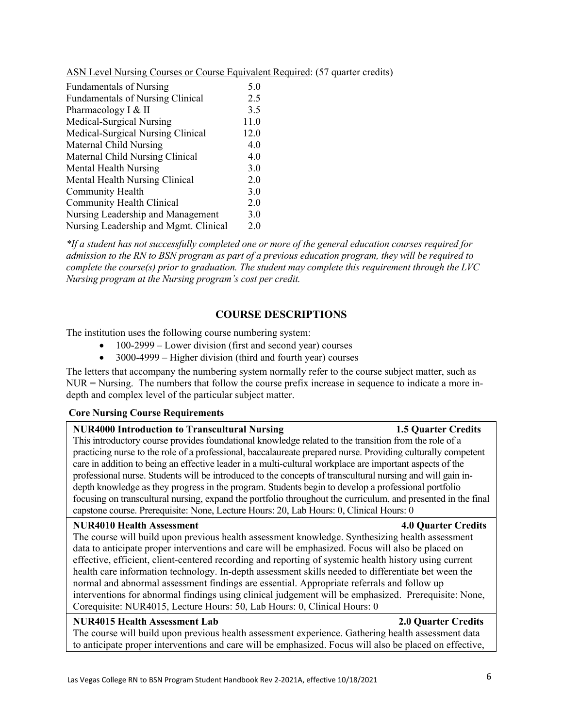to anticipate proper interventions and care will be emphasized. Focus will also be placed on effective,

|--|

| <b>Fundamentals of Nursing</b>          | 5.0  |
|-----------------------------------------|------|
| <b>Fundamentals of Nursing Clinical</b> | 2.5  |
| Pharmacology I & II                     | 3.5  |
| Medical-Surgical Nursing                | 11.0 |
| Medical-Surgical Nursing Clinical       | 12.0 |
| Maternal Child Nursing                  | 4.0  |
| Maternal Child Nursing Clinical         | 4.0  |
| Mental Health Nursing                   | 3.0  |
| Mental Health Nursing Clinical          | 2.0  |
| Community Health                        | 3.0  |
| Community Health Clinical               | 2.0  |
| Nursing Leadership and Management       | 3.0  |
| Nursing Leadership and Mgmt. Clinical   | 2.0  |

*\*If a student has not successfully completed one or more of the general education courses required for admission to the RN to BSN program as part of a previous education program, they will be required to complete the course(s) prior to graduation. The student may complete this requirement through the LVC Nursing program at the Nursing program's cost per credit.*

### **COURSE DESCRIPTIONS**

The institution uses the following course numbering system:

- $\bullet$  100-2999 Lower division (first and second year) courses
- 3000-4999 Higher division (third and fourth year) courses

The letters that accompany the numbering system normally refer to the course subject matter, such as  $NUR = Nursing.$  The numbers that follow the course prefix increase in sequence to indicate a more indepth and complex level of the particular subject matter.

#### **Core Nursing Course Requirements**

#### **NUR4000 Introduction to Transcultural Nursing 1.5 Quarter Credits**

This introductory course provides foundational knowledge related to the transition from the role of a practicing nurse to the role of a professional, baccalaureate prepared nurse. Providing culturally competent care in addition to being an effective leader in a multi-cultural workplace are important aspects of the professional nurse. Students will be introduced to the concepts of transcultural nursing and will gain indepth knowledge as they progress in the program. Students begin to develop a professional portfolio focusing on transcultural nursing, expand the portfolio throughout the curriculum, and presented in the final capstone course. Prerequisite: None, Lecture Hours: 20, Lab Hours: 0, Clinical Hours: 0

#### **NUR4010 Health Assessment 4.0 Quarter Credits**

The course will build upon previous health assessment knowledge. Synthesizing health assessment data to anticipate proper interventions and care will be emphasized. Focus will also be placed on effective, efficient, client-centered recording and reporting of systemic health history using current health care information technology. In-depth assessment skills needed to differentiate bet ween the normal and abnormal assessment findings are essential. Appropriate referrals and follow up interventions for abnormal findings using clinical judgement will be emphasized. Prerequisite: None, Corequisite: NUR4015, Lecture Hours: 50, Lab Hours: 0, Clinical Hours: 0

#### **NUR4015 Health Assessment Lab 2.0 Quarter Credits**  The course will build upon previous health assessment experience. Gathering health assessment data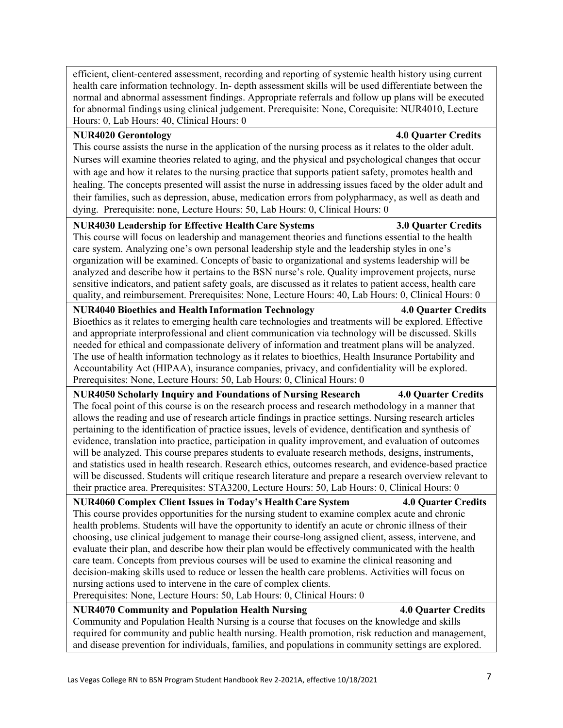efficient, client-centered assessment, recording and reporting of systemic health history using current health care information technology. In- depth assessment skills will be used differentiate between the normal and abnormal assessment findings. Appropriate referrals and follow up plans will be executed for abnormal findings using clinical judgement. Prerequisite: None, Corequisite: NUR4010, Lecture Hours: 0, Lab Hours: 40, Clinical Hours: 0

#### **NUR4020 Gerontology 4.0 Quarter Credits**

This course assists the nurse in the application of the nursing process as it relates to the older adult. Nurses will examine theories related to aging, and the physical and psychological changes that occur with age and how it relates to the nursing practice that supports patient safety, promotes health and healing. The concepts presented will assist the nurse in addressing issues faced by the older adult and their families, such as depression, abuse, medication errors from polypharmacy, as well as death and dying. Prerequisite: none, Lecture Hours: 50, Lab Hours: 0, Clinical Hours: 0

#### **NUR4030 Leadership for Effective Health Care Systems 3.0 Quarter Credits**

This course will focus on leadership and management theories and functions essential to the health care system. Analyzing one's own personal leadership style and the leadership styles in one's organization will be examined. Concepts of basic to organizational and systems leadership will be analyzed and describe how it pertains to the BSN nurse's role. Quality improvement projects, nurse sensitive indicators, and patient safety goals, are discussed as it relates to patient access, health care quality, and reimbursement. Prerequisites: None, Lecture Hours: 40, Lab Hours: 0, Clinical Hours: 0

#### **NUR4040 Bioethics and Health Information Technology 4.0 Quarter Credits**

Bioethics as it relates to emerging health care technologies and treatments will be explored. Effective and appropriate interprofessional and client communication via technology will be discussed. Skills needed for ethical and compassionate delivery of information and treatment plans will be analyzed. The use of health information technology as it relates to bioethics, Health Insurance Portability and Accountability Act (HIPAA), insurance companies, privacy, and confidentiality will be explored. Prerequisites: None, Lecture Hours: 50, Lab Hours: 0, Clinical Hours: 0

**NUR4050 Scholarly Inquiry and Foundations of Nursing Research 4.0 Quarter Credits**  The focal point of this course is on the research process and research methodology in a manner that allows the reading and use of research article findings in practice settings. Nursing research articles pertaining to the identification of practice issues, levels of evidence, dentification and synthesis of evidence, translation into practice, participation in quality improvement, and evaluation of outcomes will be analyzed. This course prepares students to evaluate research methods, designs, instruments, and statistics used in health research. Research ethics, outcomes research, and evidence-based practice will be discussed. Students will critique research literature and prepare a research overview relevant to their practice area. Prerequisites: STA3200, Lecture Hours: 50, Lab Hours: 0, Clinical Hours: 0

#### **NUR4060 Complex Client Issues in Today's Health Care System 4.0 Quarter Credits**  This course provides opportunities for the nursing student to examine complex acute and chronic

health problems. Students will have the opportunity to identify an acute or chronic illness of their choosing, use clinical judgement to manage their course-long assigned client, assess, intervene, and evaluate their plan, and describe how their plan would be effectively communicated with the health care team. Concepts from previous courses will be used to examine the clinical reasoning and decision-making skills used to reduce or lessen the health care problems. Activities will focus on nursing actions used to intervene in the care of complex clients.

Prerequisites: None, Lecture Hours: 50, Lab Hours: 0, Clinical Hours: 0

### **NUR4070 Community and Population Health Nursing 4.0 Quarter Credits**

Community and Population Health Nursing is a course that focuses on the knowledge and skills required for community and public health nursing. Health promotion, risk reduction and management, and disease prevention for individuals, families, and populations in community settings are explored.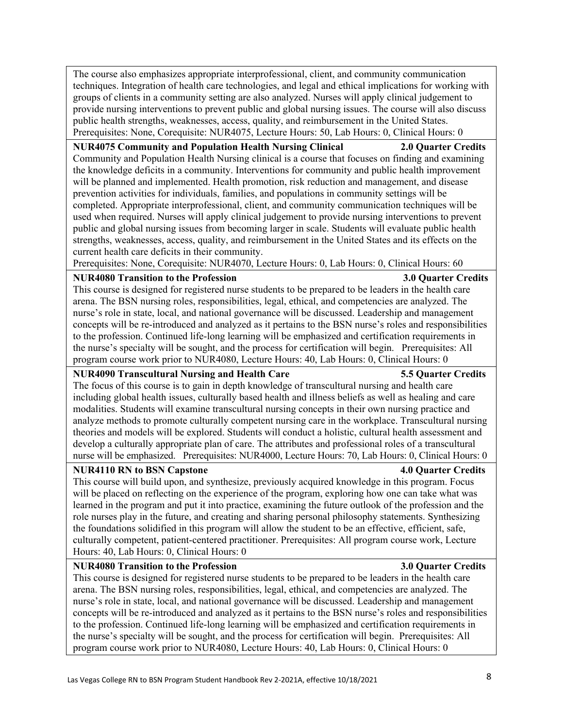The course also emphasizes appropriate interprofessional, client, and community communication techniques. Integration of health care technologies, and legal and ethical implications for working with groups of clients in a community setting are also analyzed. Nurses will apply clinical judgement to provide nursing interventions to prevent public and global nursing issues. The course will also discuss public health strengths, weaknesses, access, quality, and reimbursement in the United States. Prerequisites: None, Corequisite: NUR4075, Lecture Hours: 50, Lab Hours: 0, Clinical Hours: 0

#### **NUR4075 Community and Population Health Nursing Clinical 2.0 Quarter Credits**

Community and Population Health Nursing clinical is a course that focuses on finding and examining the knowledge deficits in a community. Interventions for community and public health improvement will be planned and implemented. Health promotion, risk reduction and management, and disease prevention activities for individuals, families, and populations in community settings will be completed. Appropriate interprofessional, client, and community communication techniques will be used when required. Nurses will apply clinical judgement to provide nursing interventions to prevent public and global nursing issues from becoming larger in scale. Students will evaluate public health strengths, weaknesses, access, quality, and reimbursement in the United States and its effects on the current health care deficits in their community.

Prerequisites: None, Corequisite: NUR4070, Lecture Hours: 0, Lab Hours: 0, Clinical Hours: 60

#### **NUR4080 Transition to the Profession 3.0 Quarter Credits**

This course is designed for registered nurse students to be prepared to be leaders in the health care arena. The BSN nursing roles, responsibilities, legal, ethical, and competencies are analyzed. The nurse's role in state, local, and national governance will be discussed. Leadership and management concepts will be re-introduced and analyzed as it pertains to the BSN nurse's roles and responsibilities to the profession. Continued life-long learning will be emphasized and certification requirements in the nurse's specialty will be sought, and the process for certification will begin. Prerequisites: All program course work prior to NUR4080, Lecture Hours: 40, Lab Hours: 0, Clinical Hours: 0

#### **NUR4090 Transcultural Nursing and Health Care 5.5 Quarter Credits**

The focus of this course is to gain in depth knowledge of transcultural nursing and health care including global health issues, culturally based health and illness beliefs as well as healing and care modalities. Students will examine transcultural nursing concepts in their own nursing practice and analyze methods to promote culturally competent nursing care in the workplace. Transcultural nursing theories and models will be explored. Students will conduct a holistic, cultural health assessment and develop a culturally appropriate plan of care. The attributes and professional roles of a transcultural nurse will be emphasized. Prerequisites: NUR4000, Lecture Hours: 70, Lab Hours: 0, Clinical Hours: 0

#### **NUR4110 RN to BSN Capstone 4.0 Quarter Credits**

This course will build upon, and synthesize, previously acquired knowledge in this program. Focus will be placed on reflecting on the experience of the program, exploring how one can take what was learned in the program and put it into practice, examining the future outlook of the profession and the role nurses play in the future, and creating and sharing personal philosophy statements. Synthesizing the foundations solidified in this program will allow the student to be an effective, efficient, safe, culturally competent, patient-centered practitioner. Prerequisites: All program course work, Lecture Hours: 40, Lab Hours: 0, Clinical Hours: 0

#### **NUR4080 Transition to the Profession 3.0 Quarter Credits**

This course is designed for registered nurse students to be prepared to be leaders in the health care arena. The BSN nursing roles, responsibilities, legal, ethical, and competencies are analyzed. The nurse's role in state, local, and national governance will be discussed. Leadership and management concepts will be re-introduced and analyzed as it pertains to the BSN nurse's roles and responsibilities to the profession. Continued life-long learning will be emphasized and certification requirements in the nurse's specialty will be sought, and the process for certification will begin. Prerequisites: All program course work prior to NUR4080, Lecture Hours: 40, Lab Hours: 0, Clinical Hours: 0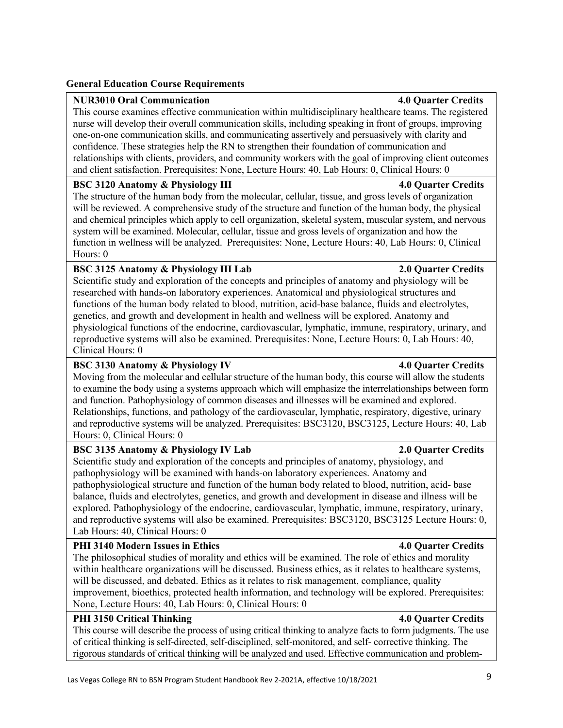#### **General Education Course Requirements**

#### **NUR3010 Oral Communication 4.0 Quarter Credits**

This course examines effective communication within multidisciplinary healthcare teams. The registered nurse will develop their overall communication skills, including speaking in front of groups, improving one-on-one communication skills, and communicating assertively and persuasively with clarity and confidence. These strategies help the RN to strengthen their foundation of communication and relationships with clients, providers, and community workers with the goal of improving client outcomes and client satisfaction. Prerequisites: None, Lecture Hours: 40, Lab Hours: 0, Clinical Hours: 0

#### **BSC 3120 Anatomy & Physiology III 4.0 Quarter Credits**

The structure of the human body from the molecular, cellular, tissue, and gross levels of organization will be reviewed. A comprehensive study of the structure and function of the human body, the physical and chemical principles which apply to cell organization, skeletal system, muscular system, and nervous system will be examined. Molecular, cellular, tissue and gross levels of organization and how the function in wellness will be analyzed. Prerequisites: None, Lecture Hours: 40, Lab Hours: 0, Clinical Hours: 0

#### **BSC 3125 Anatomy & Physiology III Lab 2.0 Quarter Credits**

Scientific study and exploration of the concepts and principles of anatomy and physiology will be researched with hands-on laboratory experiences. Anatomical and physiological structures and functions of the human body related to blood, nutrition, acid-base balance, fluids and electrolytes, genetics, and growth and development in health and wellness will be explored. Anatomy and physiological functions of the endocrine, cardiovascular, lymphatic, immune, respiratory, urinary, and reproductive systems will also be examined. Prerequisites: None, Lecture Hours: 0, Lab Hours: 40, Clinical Hours: 0

#### **BSC 3130 Anatomy & Physiology IV 4.0 Quarter Credits**

Moving from the molecular and cellular structure of the human body, this course will allow the students to examine the body using a systems approach which will emphasize the interrelationships between form and function. Pathophysiology of common diseases and illnesses will be examined and explored. Relationships, functions, and pathology of the cardiovascular, lymphatic, respiratory, digestive, urinary and reproductive systems will be analyzed. Prerequisites: BSC3120, BSC3125, Lecture Hours: 40, Lab Hours: 0, Clinical Hours: 0

#### **BSC 3135 Anatomy & Physiology IV Lab 2.0 Quarter Credits**

Scientific study and exploration of the concepts and principles of anatomy, physiology, and pathophysiology will be examined with hands-on laboratory experiences. Anatomy and pathophysiological structure and function of the human body related to blood, nutrition, acid- base balance, fluids and electrolytes, genetics, and growth and development in disease and illness will be explored. Pathophysiology of the endocrine, cardiovascular, lymphatic, immune, respiratory, urinary, and reproductive systems will also be examined. Prerequisites: BSC3120, BSC3125 Lecture Hours: 0, Lab Hours: 40, Clinical Hours: 0

#### PHI 3140 Modern Issues in Ethics **4.0 Quarter Credits**

The philosophical studies of morality and ethics will be examined. The role of ethics and morality within healthcare organizations will be discussed. Business ethics, as it relates to healthcare systems, will be discussed, and debated. Ethics as it relates to risk management, compliance, quality improvement, bioethics, protected health information, and technology will be explored. Prerequisites: None, Lecture Hours: 40, Lab Hours: 0, Clinical Hours: 0

#### **PHI 3150 Critical Thinking 4.0 Quarter Credits**

This course will describe the process of using critical thinking to analyze facts to form judgments. The use of critical thinking is self-directed, self-disciplined, self-monitored, and self- corrective thinking. The rigorous standards of critical thinking will be analyzed and used. Effective communication and problem-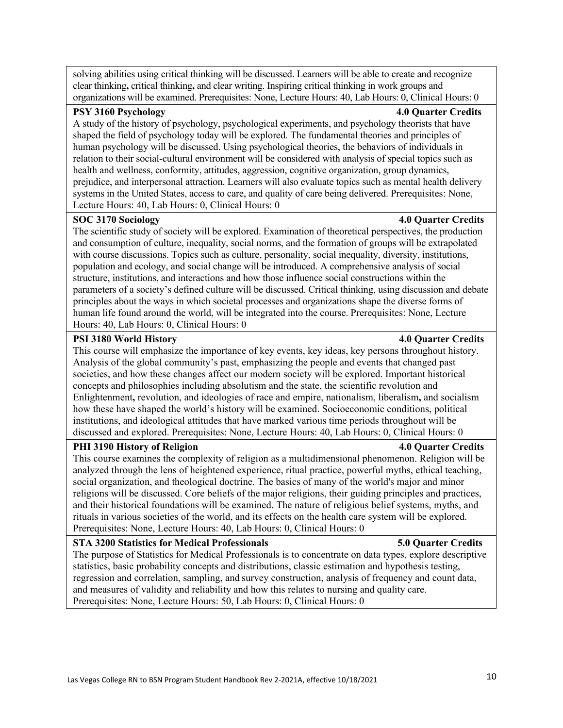solving abilities using critical thinking will be discussed. Learners will be able to create and recognize clear thinking**,** critical thinking**,** and clear writing. Inspiring critical thinking in work groups and organizations will be examined. Prerequisites: None, Lecture Hours: 40, Lab Hours: 0, Clinical Hours: 0

#### **PSY 3160 Psychology 4.0 Quarter Credits**

A study of the history of psychology, psychological experiments, and psychology theorists that have shaped the field of psychology today will be explored. The fundamental theories and principles of human psychology will be discussed. Using psychological theories, the behaviors of individuals in relation to their social-cultural environment will be considered with analysis of special topics such as health and wellness, conformity, attitudes, aggression, cognitive organization, group dynamics, prejudice, and interpersonal attraction. Learners will also evaluate topics such as mental health delivery systems in the United States, access to care, and quality of care being delivered. Prerequisites: None, Lecture Hours: 40, Lab Hours: 0, Clinical Hours: 0

#### **SOC 3170 Sociology 4.0 Quarter Credits**

The scientific study of society will be explored. Examination of theoretical perspectives, the production and consumption of culture, inequality, social norms, and the formation of groups will be extrapolated with course discussions. Topics such as culture, personality, social inequality, diversity, institutions, population and ecology, and social change will be introduced. A comprehensive analysis of social structure, institutions, and interactions and how those influence social constructions within the parameters of a society's defined culture will be discussed. Critical thinking, using discussion and debate principles about the ways in which societal processes and organizations shape the diverse forms of human life found around the world, will be integrated into the course. Prerequisites: None, Lecture Hours: 40, Lab Hours: 0, Clinical Hours: 0

#### **PSI 3180 World History 4.0 Quarter Credits**

This course will emphasize the importance of key events, key ideas, key persons throughout history. Analysis of the global community's past, emphasizing the people and events that changed past societies, and how these changes affect our modern society will be explored. Important historical concepts and philosophies including absolutism and the state, the scientific revolution and Enlightenment**,** revolution, and ideologies of race and empire, nationalism, liberalism**,** and socialism how these have shaped the world's history will be examined. Socioeconomic conditions, political institutions, and ideological attitudes that have marked various time periods throughout will be discussed and explored. Prerequisites: None, Lecture Hours: 40, Lab Hours: 0, Clinical Hours: 0

#### **PHI 3190 History of Religion 4.0 Quarter Credits**

This course examines the complexity of religion as a multidimensional phenomenon. Religion will be analyzed through the lens of heightened experience, ritual practice, powerful myths, ethical teaching, social organization, and theological doctrine. The basics of many of the world's major and minor religions will be discussed. Core beliefs of the major religions, their guiding principles and practices, and their historical foundations will be examined. The nature of religious belief systems, myths, and rituals in various societies of the world, and its effects on the health care system will be explored. Prerequisites: None, Lecture Hours: 40, Lab Hours: 0, Clinical Hours: 0

#### **STA 3200 Statistics for Medical Professionals 5.0 Quarter Credits**

The purpose of Statistics for Medical Professionals is to concentrate on data types, explore descriptive statistics, basic probability concepts and distributions, classic estimation and hypothesis testing, regression and correlation, sampling, and survey construction, analysis of frequency and count data, and measures of validity and reliability and how this relates to nursing and quality care. Prerequisites: None, Lecture Hours: 50, Lab Hours: 0, Clinical Hours: 0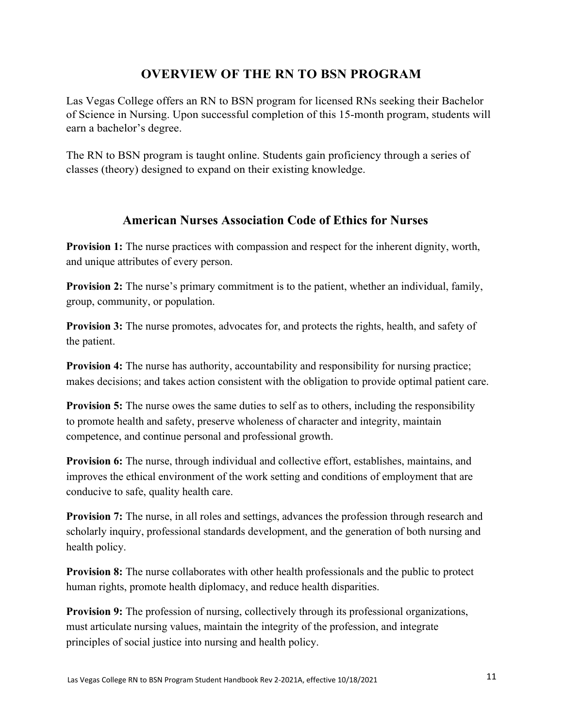# **OVERVIEW OF THE RN TO BSN PROGRAM**

Las Vegas College offers an RN to BSN program for licensed RNs seeking their Bachelor of Science in Nursing. Upon successful completion of this 15-month program, students will earn a bachelor's degree.

The RN to BSN program is taught online. Students gain proficiency through a series of classes (theory) designed to expand on their existing knowledge.

# **American Nurses Association Code of Ethics for Nurses**

**Provision 1:** The nurse practices with compassion and respect for the inherent dignity, worth, and unique attributes of every person.

**Provision 2:** The nurse's primary commitment is to the patient, whether an individual, family, group, community, or population.

**Provision 3:** The nurse promotes, advocates for, and protects the rights, health, and safety of the patient.

**Provision 4:** The nurse has authority, accountability and responsibility for nursing practice; makes decisions; and takes action consistent with the obligation to provide optimal patient care.

**Provision 5:** The nurse owes the same duties to self as to others, including the responsibility to promote health and safety, preserve wholeness of character and integrity, maintain competence, and continue personal and professional growth.

**Provision 6:** The nurse, through individual and collective effort, establishes, maintains, and improves the ethical environment of the work setting and conditions of employment that are conducive to safe, quality health care.

**Provision 7:** The nurse, in all roles and settings, advances the profession through research and scholarly inquiry, professional standards development, and the generation of both nursing and health policy.

**Provision 8:** The nurse collaborates with other health professionals and the public to protect human rights, promote health diplomacy, and reduce health disparities.

**Provision 9:** The profession of nursing, collectively through its professional organizations, must articulate nursing values, maintain the integrity of the profession, and integrate principles of social justice into nursing and health policy.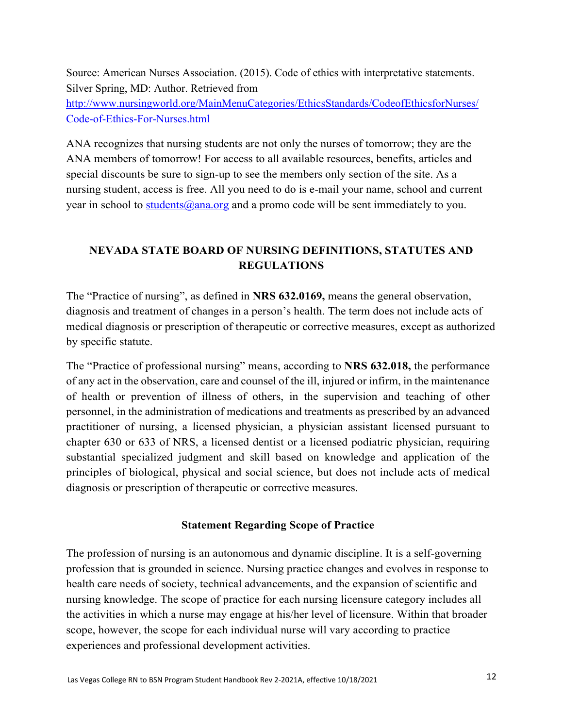Source: American Nurses Association. (2015). Code of ethics with interpretative statements. Silver Spring, MD: Author. Retrieved from

http://www.nursingworld.org/MainMenuCategories/EthicsStandards/CodeofEthicsforNurses/ Code-of-Ethics-For-Nurses.html

ANA recognizes that nursing students are not only the nurses of tomorrow; they are the ANA members of tomorrow! For access to all available resources, benefits, articles and special discounts be sure to sign-up to see the members only section of the site. As a nursing student, access is free. All you need to do is e-mail your name, school and current year in school to students@ana.org and a promo code will be sent immediately to you.

# **NEVADA STATE BOARD OF NURSING DEFINITIONS, STATUTES AND REGULATIONS**

The "Practice of nursing", as defined in **NRS 632.0169,** means the general observation, diagnosis and treatment of changes in a person's health. The term does not include acts of medical diagnosis or prescription of therapeutic or corrective measures, except as authorized by specific statute.

The "Practice of professional nursing" means, according to **NRS 632.018,** the performance of any act in the observation, care and counsel of the ill, injured or infirm, in the maintenance of health or prevention of illness of others, in the supervision and teaching of other personnel, in the administration of medications and treatments as prescribed by an advanced practitioner of nursing, a licensed physician, a physician assistant licensed pursuant to chapter 630 or 633 of NRS, a licensed dentist or a licensed podiatric physician, requiring substantial specialized judgment and skill based on knowledge and application of the principles of biological, physical and social science, but does not include acts of medical diagnosis or prescription of therapeutic or corrective measures.

### **Statement Regarding Scope of Practice**

The profession of nursing is an autonomous and dynamic discipline. It is a self-governing profession that is grounded in science. Nursing practice changes and evolves in response to health care needs of society, technical advancements, and the expansion of scientific and nursing knowledge. The scope of practice for each nursing licensure category includes all the activities in which a nurse may engage at his/her level of licensure. Within that broader scope, however, the scope for each individual nurse will vary according to practice experiences and professional development activities.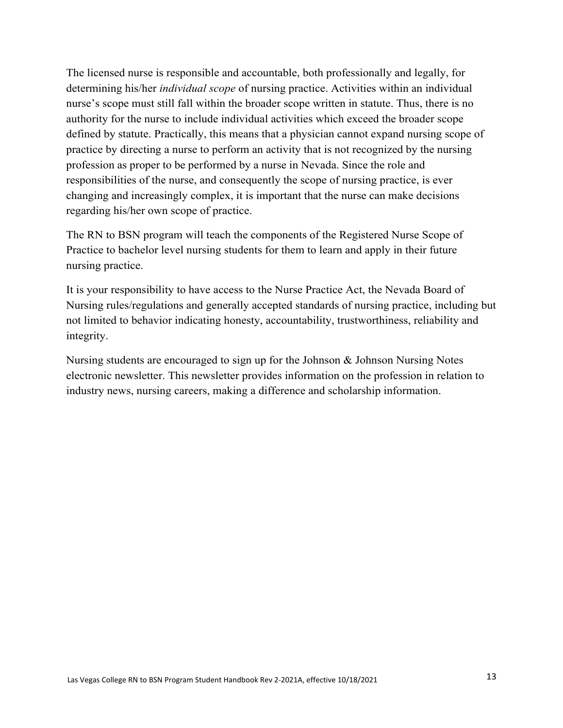The licensed nurse is responsible and accountable, both professionally and legally, for determining his/her *individual scope* of nursing practice. Activities within an individual nurse's scope must still fall within the broader scope written in statute. Thus, there is no authority for the nurse to include individual activities which exceed the broader scope defined by statute. Practically, this means that a physician cannot expand nursing scope of practice by directing a nurse to perform an activity that is not recognized by the nursing profession as proper to be performed by a nurse in Nevada. Since the role and responsibilities of the nurse, and consequently the scope of nursing practice, is ever changing and increasingly complex, it is important that the nurse can make decisions regarding his/her own scope of practice.

The RN to BSN program will teach the components of the Registered Nurse Scope of Practice to bachelor level nursing students for them to learn and apply in their future nursing practice.

It is your responsibility to have access to the Nurse Practice Act, the Nevada Board of Nursing rules/regulations and generally accepted standards of nursing practice, including but not limited to behavior indicating honesty, accountability, trustworthiness, reliability and integrity.

Nursing students are encouraged to sign up for the Johnson & Johnson Nursing Notes electronic newsletter. This newsletter provides information on the profession in relation to industry news, nursing careers, making a difference and scholarship information.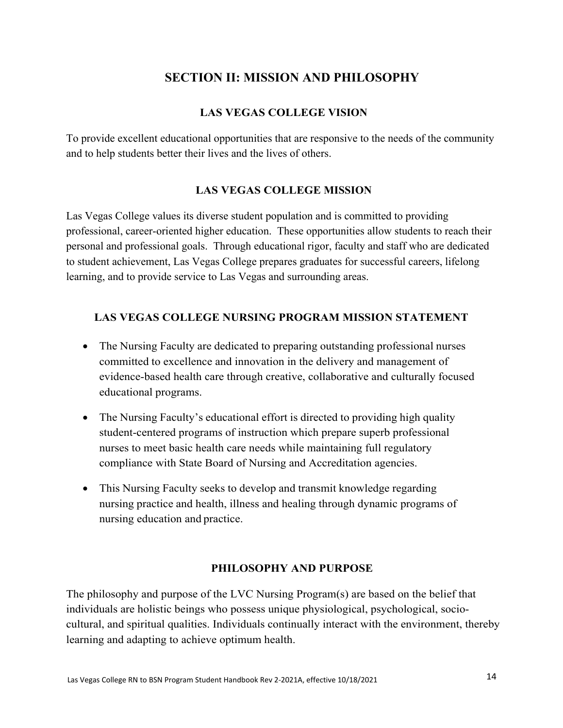# **SECTION II: MISSION AND PHILOSOPHY**

### **LAS VEGAS COLLEGE VISION**

To provide excellent educational opportunities that are responsive to the needs of the community and to help students better their lives and the lives of others.

### **LAS VEGAS COLLEGE MISSION**

Las Vegas College values its diverse student population and is committed to providing professional, career-oriented higher education. These opportunities allow students to reach their personal and professional goals. Through educational rigor, faculty and staff who are dedicated to student achievement, Las Vegas College prepares graduates for successful careers, lifelong learning, and to provide service to Las Vegas and surrounding areas.

#### **LAS VEGAS COLLEGE NURSING PROGRAM MISSION STATEMENT**

- The Nursing Faculty are dedicated to preparing outstanding professional nurses committed to excellence and innovation in the delivery and management of evidence-based health care through creative, collaborative and culturally focused educational programs.
- The Nursing Faculty's educational effort is directed to providing high quality student-centered programs of instruction which prepare superb professional nurses to meet basic health care needs while maintaining full regulatory compliance with State Board of Nursing and Accreditation agencies.
- This Nursing Faculty seeks to develop and transmit knowledge regarding nursing practice and health, illness and healing through dynamic programs of nursing education and practice.

#### **PHILOSOPHY AND PURPOSE**

The philosophy and purpose of the LVC Nursing Program(s) are based on the belief that individuals are holistic beings who possess unique physiological, psychological, sociocultural, and spiritual qualities. Individuals continually interact with the environment, thereby learning and adapting to achieve optimum health.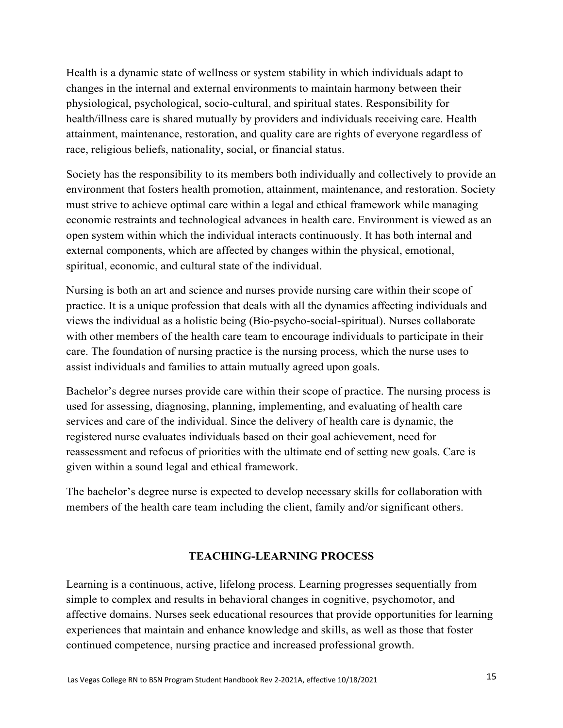Health is a dynamic state of wellness or system stability in which individuals adapt to changes in the internal and external environments to maintain harmony between their physiological, psychological, socio-cultural, and spiritual states. Responsibility for health/illness care is shared mutually by providers and individuals receiving care. Health attainment, maintenance, restoration, and quality care are rights of everyone regardless of race, religious beliefs, nationality, social, or financial status.

Society has the responsibility to its members both individually and collectively to provide an environment that fosters health promotion, attainment, maintenance, and restoration. Society must strive to achieve optimal care within a legal and ethical framework while managing economic restraints and technological advances in health care. Environment is viewed as an open system within which the individual interacts continuously. It has both internal and external components, which are affected by changes within the physical, emotional, spiritual, economic, and cultural state of the individual.

Nursing is both an art and science and nurses provide nursing care within their scope of practice. It is a unique profession that deals with all the dynamics affecting individuals and views the individual as a holistic being (Bio-psycho-social-spiritual). Nurses collaborate with other members of the health care team to encourage individuals to participate in their care. The foundation of nursing practice is the nursing process, which the nurse uses to assist individuals and families to attain mutually agreed upon goals.

Bachelor's degree nurses provide care within their scope of practice. The nursing process is used for assessing, diagnosing, planning, implementing, and evaluating of health care services and care of the individual. Since the delivery of health care is dynamic, the registered nurse evaluates individuals based on their goal achievement, need for reassessment and refocus of priorities with the ultimate end of setting new goals. Care is given within a sound legal and ethical framework.

The bachelor's degree nurse is expected to develop necessary skills for collaboration with members of the health care team including the client, family and/or significant others.

### **TEACHING-LEARNING PROCESS**

Learning is a continuous, active, lifelong process. Learning progresses sequentially from simple to complex and results in behavioral changes in cognitive, psychomotor, and affective domains. Nurses seek educational resources that provide opportunities for learning experiences that maintain and enhance knowledge and skills, as well as those that foster continued competence, nursing practice and increased professional growth.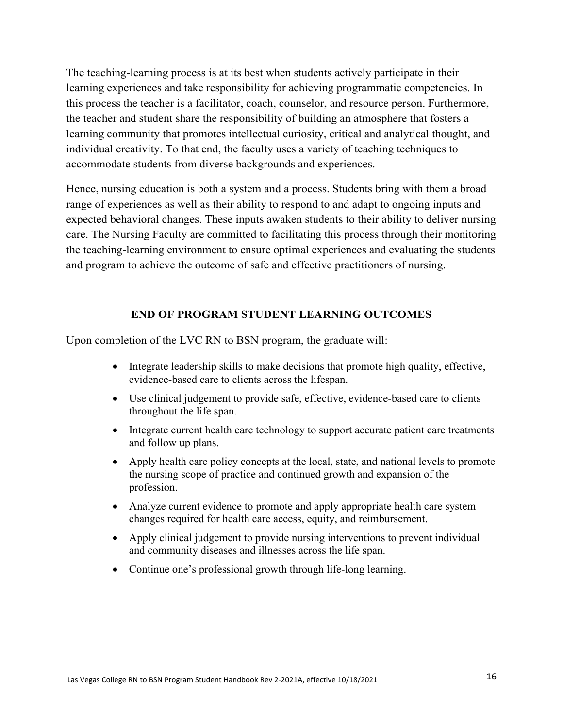The teaching-learning process is at its best when students actively participate in their learning experiences and take responsibility for achieving programmatic competencies. In this process the teacher is a facilitator, coach, counselor, and resource person. Furthermore, the teacher and student share the responsibility of building an atmosphere that fosters a learning community that promotes intellectual curiosity, critical and analytical thought, and individual creativity. To that end, the faculty uses a variety of teaching techniques to accommodate students from diverse backgrounds and experiences.

Hence, nursing education is both a system and a process. Students bring with them a broad range of experiences as well as their ability to respond to and adapt to ongoing inputs and expected behavioral changes. These inputs awaken students to their ability to deliver nursing care. The Nursing Faculty are committed to facilitating this process through their monitoring the teaching-learning environment to ensure optimal experiences and evaluating the students and program to achieve the outcome of safe and effective practitioners of nursing.

### **END OF PROGRAM STUDENT LEARNING OUTCOMES**

Upon completion of the LVC RN to BSN program, the graduate will:

- Integrate leadership skills to make decisions that promote high quality, effective, evidence-based care to clients across the lifespan.
- Use clinical judgement to provide safe, effective, evidence-based care to clients throughout the life span.
- Integrate current health care technology to support accurate patient care treatments and follow up plans.
- Apply health care policy concepts at the local, state, and national levels to promote the nursing scope of practice and continued growth and expansion of the profession.
- Analyze current evidence to promote and apply appropriate health care system changes required for health care access, equity, and reimbursement.
- Apply clinical judgement to provide nursing interventions to prevent individual and community diseases and illnesses across the life span.
- Continue one's professional growth through life-long learning.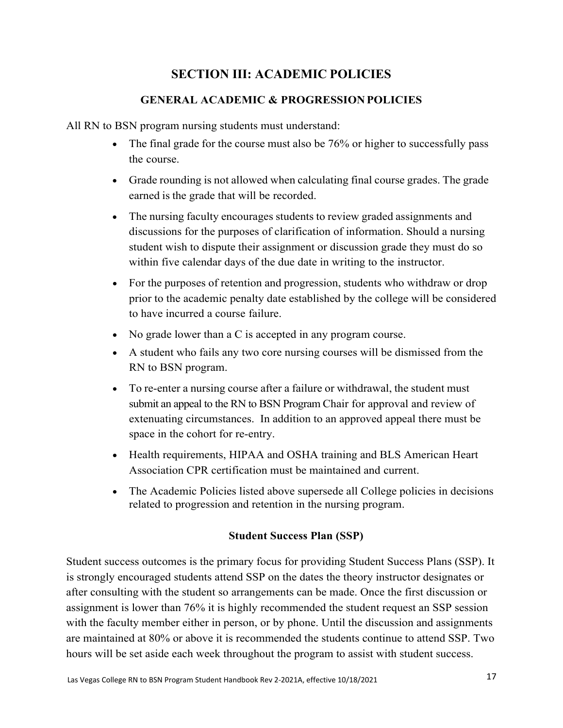# **SECTION III: ACADEMIC POLICIES**

# **GENERAL ACADEMIC & PROGRESSION POLICIES**

All RN to BSN program nursing students must understand:

- The final grade for the course must also be 76% or higher to successfully pass the course.
- Grade rounding is not allowed when calculating final course grades. The grade earned is the grade that will be recorded.
- The nursing faculty encourages students to review graded assignments and discussions for the purposes of clarification of information. Should a nursing student wish to dispute their assignment or discussion grade they must do so within five calendar days of the due date in writing to the instructor.
- For the purposes of retention and progression, students who withdraw or drop prior to the academic penalty date established by the college will be considered to have incurred a course failure.
- No grade lower than a C is accepted in any program course.
- A student who fails any two core nursing courses will be dismissed from the RN to BSN program.
- To re-enter a nursing course after a failure or withdrawal, the student must submit an appeal to the RN to BSN Program Chair for approval and review of extenuating circumstances. In addition to an approved appeal there must be space in the cohort for re-entry.
- Health requirements, HIPAA and OSHA training and BLS American Heart Association CPR certification must be maintained and current.
- The Academic Policies listed above supersede all College policies in decisions related to progression and retention in the nursing program.

# **Student Success Plan (SSP)**

Student success outcomes is the primary focus for providing Student Success Plans (SSP). It is strongly encouraged students attend SSP on the dates the theory instructor designates or after consulting with the student so arrangements can be made. Once the first discussion or assignment is lower than 76% it is highly recommended the student request an SSP session with the faculty member either in person, or by phone. Until the discussion and assignments are maintained at 80% or above it is recommended the students continue to attend SSP. Two hours will be set aside each week throughout the program to assist with student success.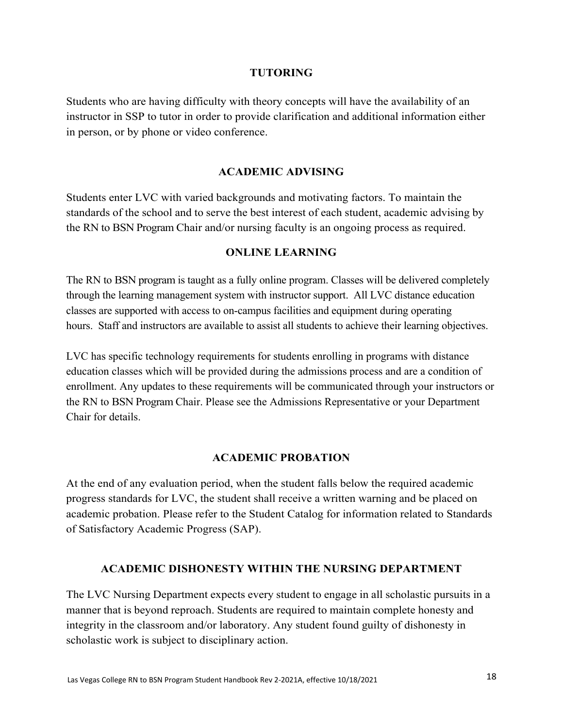#### **TUTORING**

Students who are having difficulty with theory concepts will have the availability of an instructor in SSP to tutor in order to provide clarification and additional information either in person, or by phone or video conference.

#### **ACADEMIC ADVISING**

Students enter LVC with varied backgrounds and motivating factors. To maintain the standards of the school and to serve the best interest of each student, academic advising by the RN to BSN Program Chair and/or nursing faculty is an ongoing process as required.

#### **ONLINE LEARNING**

The RN to BSN program is taught as a fully online program. Classes will be delivered completely through the learning management system with instructor support. All LVC distance education classes are supported with access to on-campus facilities and equipment during operating hours. Staff and instructors are available to assist all students to achieve their learning objectives.

LVC has specific technology requirements for students enrolling in programs with distance education classes which will be provided during the admissions process and are a condition of enrollment. Any updates to these requirements will be communicated through your instructors or the RN to BSN Program Chair. Please see the Admissions Representative or your Department Chair for details.

#### **ACADEMIC PROBATION**

At the end of any evaluation period, when the student falls below the required academic progress standards for LVC, the student shall receive a written warning and be placed on academic probation. Please refer to the Student Catalog for information related to Standards of Satisfactory Academic Progress (SAP).

#### **ACADEMIC DISHONESTY WITHIN THE NURSING DEPARTMENT**

The LVC Nursing Department expects every student to engage in all scholastic pursuits in a manner that is beyond reproach. Students are required to maintain complete honesty and integrity in the classroom and/or laboratory. Any student found guilty of dishonesty in scholastic work is subject to disciplinary action.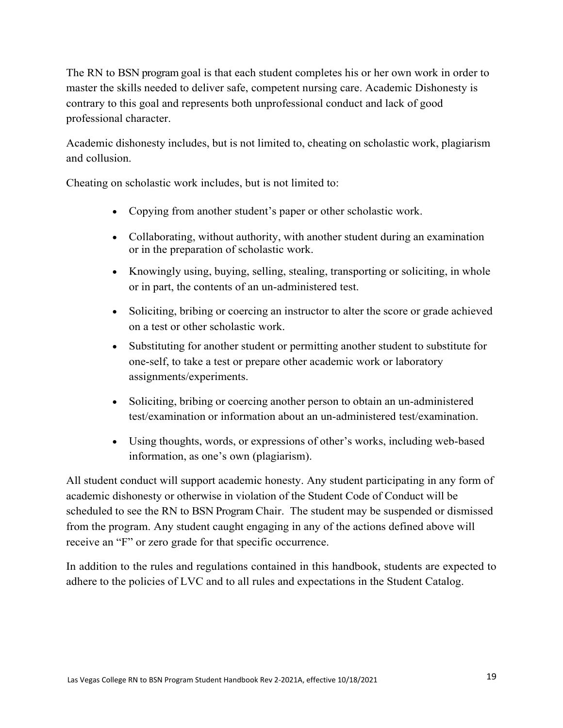The RN to BSN program goal is that each student completes his or her own work in order to master the skills needed to deliver safe, competent nursing care. Academic Dishonesty is contrary to this goal and represents both unprofessional conduct and lack of good professional character.

Academic dishonesty includes, but is not limited to, cheating on scholastic work, plagiarism and collusion.

Cheating on scholastic work includes, but is not limited to:

- Copying from another student's paper or other scholastic work.
- Collaborating, without authority, with another student during an examination or in the preparation of scholastic work.
- Knowingly using, buying, selling, stealing, transporting or soliciting, in whole or in part, the contents of an un-administered test.
- Soliciting, bribing or coercing an instructor to alter the score or grade achieved on a test or other scholastic work.
- Substituting for another student or permitting another student to substitute for one-self, to take a test or prepare other academic work or laboratory assignments/experiments.
- Soliciting, bribing or coercing another person to obtain an un-administered test/examination or information about an un-administered test/examination.
- Using thoughts, words, or expressions of other's works, including web-based information, as one's own (plagiarism).

All student conduct will support academic honesty. Any student participating in any form of academic dishonesty or otherwise in violation of the Student Code of Conduct will be scheduled to see the RN to BSN Program Chair. The student may be suspended or dismissed from the program. Any student caught engaging in any of the actions defined above will receive an "F" or zero grade for that specific occurrence.

In addition to the rules and regulations contained in this handbook, students are expected to adhere to the policies of LVC and to all rules and expectations in the Student Catalog.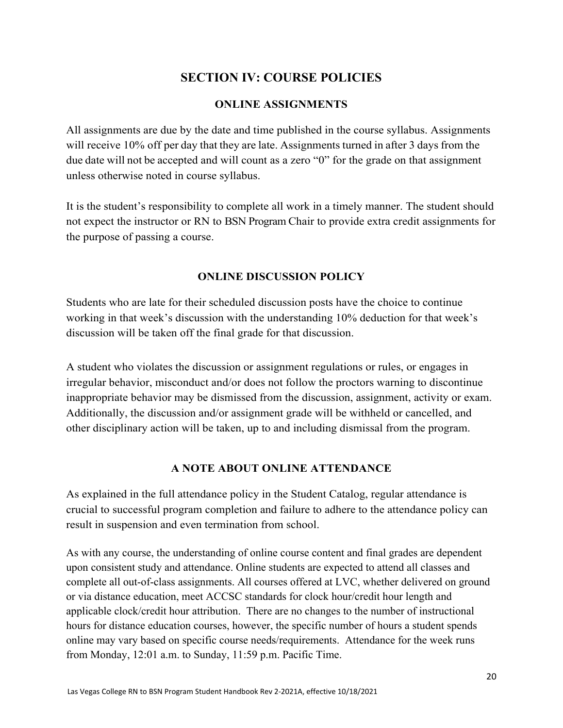# **SECTION IV: COURSE POLICIES**

### **ONLINE ASSIGNMENTS**

All assignments are due by the date and time published in the course syllabus. Assignments will receive 10% off per day that they are late. Assignments turned in after 3 days from the due date will not be accepted and will count as a zero "0" for the grade on that assignment unless otherwise noted in course syllabus.

It is the student's responsibility to complete all work in a timely manner. The student should not expect the instructor or RN to BSN Program Chair to provide extra credit assignments for the purpose of passing a course.

### **ONLINE DISCUSSION POLICY**

Students who are late for their scheduled discussion posts have the choice to continue working in that week's discussion with the understanding 10% deduction for that week's discussion will be taken off the final grade for that discussion.

A student who violates the discussion or assignment regulations or rules, or engages in irregular behavior, misconduct and/or does not follow the proctors warning to discontinue inappropriate behavior may be dismissed from the discussion, assignment, activity or exam. Additionally, the discussion and/or assignment grade will be withheld or cancelled, and other disciplinary action will be taken, up to and including dismissal from the program.

#### **A NOTE ABOUT ONLINE ATTENDANCE**

As explained in the full attendance policy in the Student Catalog, regular attendance is crucial to successful program completion and failure to adhere to the attendance policy can result in suspension and even termination from school.

As with any course, the understanding of online course content and final grades are dependent upon consistent study and attendance. Online students are expected to attend all classes and complete all out-of-class assignments. All courses offered at LVC, whether delivered on ground or via distance education, meet ACCSC standards for clock hour/credit hour length and applicable clock/credit hour attribution. There are no changes to the number of instructional hours for distance education courses, however, the specific number of hours a student spends online may vary based on specific course needs/requirements. Attendance for the week runs from Monday, 12:01 a.m. to Sunday, 11:59 p.m. Pacific Time.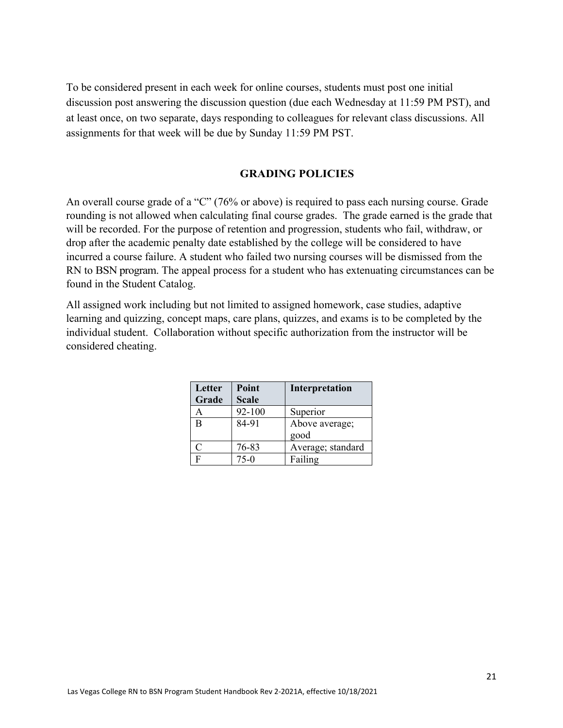To be considered present in each week for online courses, students must post one initial discussion post answering the discussion question (due each Wednesday at 11:59 PM PST), and at least once, on two separate, days responding to colleagues for relevant class discussions. All assignments for that week will be due by Sunday 11:59 PM PST.

#### **GRADING POLICIES**

An overall course grade of a "C" (76% or above) is required to pass each nursing course. Grade rounding is not allowed when calculating final course grades. The grade earned is the grade that will be recorded. For the purpose of retention and progression, students who fail, withdraw, or drop after the academic penalty date established by the college will be considered to have incurred a course failure. A student who failed two nursing courses will be dismissed from the RN to BSN program. The appeal process for a student who has extenuating circumstances can be found in the Student Catalog.

All assigned work including but not limited to assigned homework, case studies, adaptive learning and quizzing, concept maps, care plans, quizzes, and exams is to be completed by the individual student. Collaboration without specific authorization from the instructor will be considered cheating.

| Letter | Point        | Interpretation    |
|--------|--------------|-------------------|
| Grade  | <b>Scale</b> |                   |
| A      | 92-100       | Superior          |
| B      | 84-91        | Above average;    |
|        |              | good              |
| C      | 76-83        | Average; standard |
| F      | 75-0         | Failing           |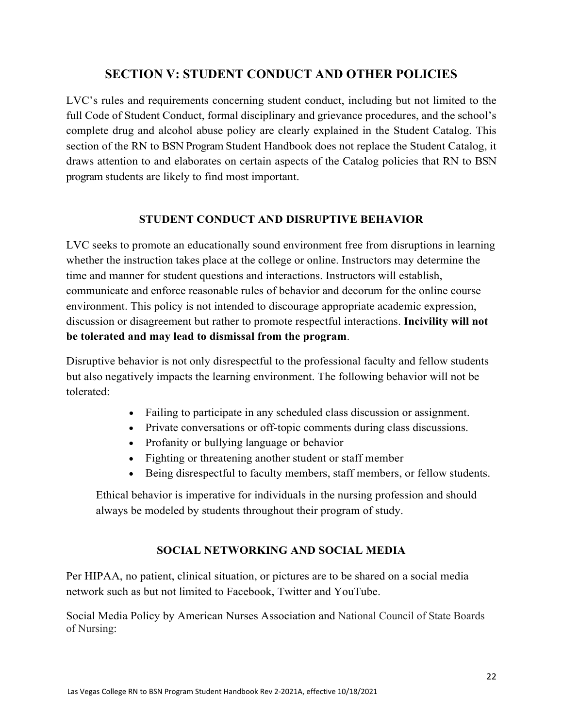# **SECTION V: STUDENT CONDUCT AND OTHER POLICIES**

LVC's rules and requirements concerning student conduct, including but not limited to the full Code of Student Conduct, formal disciplinary and grievance procedures, and the school's complete drug and alcohol abuse policy are clearly explained in the Student Catalog. This section of the RN to BSN Program Student Handbook does not replace the Student Catalog, it draws attention to and elaborates on certain aspects of the Catalog policies that RN to BSN program students are likely to find most important.

### **STUDENT CONDUCT AND DISRUPTIVE BEHAVIOR**

LVC seeks to promote an educationally sound environment free from disruptions in learning whether the instruction takes place at the college or online. Instructors may determine the time and manner for student questions and interactions. Instructors will establish, communicate and enforce reasonable rules of behavior and decorum for the online course environment. This policy is not intended to discourage appropriate academic expression, discussion or disagreement but rather to promote respectful interactions. **Incivility will not be tolerated and may lead to dismissal from the program**.

Disruptive behavior is not only disrespectful to the professional faculty and fellow students but also negatively impacts the learning environment. The following behavior will not be tolerated:

- Failing to participate in any scheduled class discussion or assignment.
- Private conversations or off-topic comments during class discussions.
- Profanity or bullying language or behavior
- Fighting or threatening another student or staff member
- Being disrespectful to faculty members, staff members, or fellow students.

Ethical behavior is imperative for individuals in the nursing profession and should always be modeled by students throughout their program of study.

# **SOCIAL NETWORKING AND SOCIAL MEDIA**

Per HIPAA, no patient, clinical situation, or pictures are to be shared on a social media network such as but not limited to Facebook, Twitter and YouTube.

Social Media Policy by American Nurses Association and National Council of State Boards of Nursing: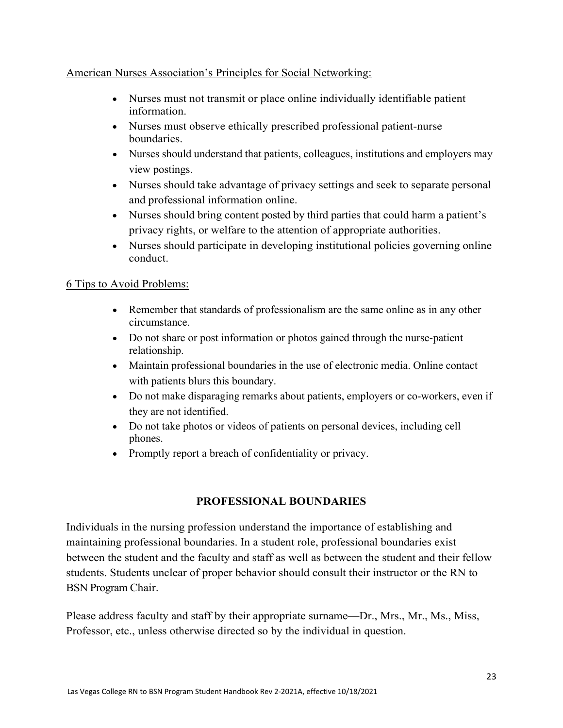### American Nurses Association's Principles for Social Networking:

- Nurses must not transmit or place online individually identifiable patient information.
- Nurses must observe ethically prescribed professional patient-nurse boundaries.
- Nurses should understand that patients, colleagues, institutions and employers may view postings.
- Nurses should take advantage of privacy settings and seek to separate personal and professional information online.
- Nurses should bring content posted by third parties that could harm a patient's privacy rights, or welfare to the attention of appropriate authorities.
- Nurses should participate in developing institutional policies governing online conduct.

### 6 Tips to Avoid Problems:

- Remember that standards of professionalism are the same online as in any other circumstance.
- Do not share or post information or photos gained through the nurse-patient relationship.
- Maintain professional boundaries in the use of electronic media. Online contact with patients blurs this boundary.
- Do not make disparaging remarks about patients, employers or co-workers, even if they are not identified.
- Do not take photos or videos of patients on personal devices, including cell phones.
- Promptly report a breach of confidentiality or privacy.

### **PROFESSIONAL BOUNDARIES**

Individuals in the nursing profession understand the importance of establishing and maintaining professional boundaries. In a student role, professional boundaries exist between the student and the faculty and staff as well as between the student and their fellow students. Students unclear of proper behavior should consult their instructor or the RN to BSN Program Chair.

Please address faculty and staff by their appropriate surname—Dr., Mrs., Mr., Ms., Miss, Professor, etc., unless otherwise directed so by the individual in question.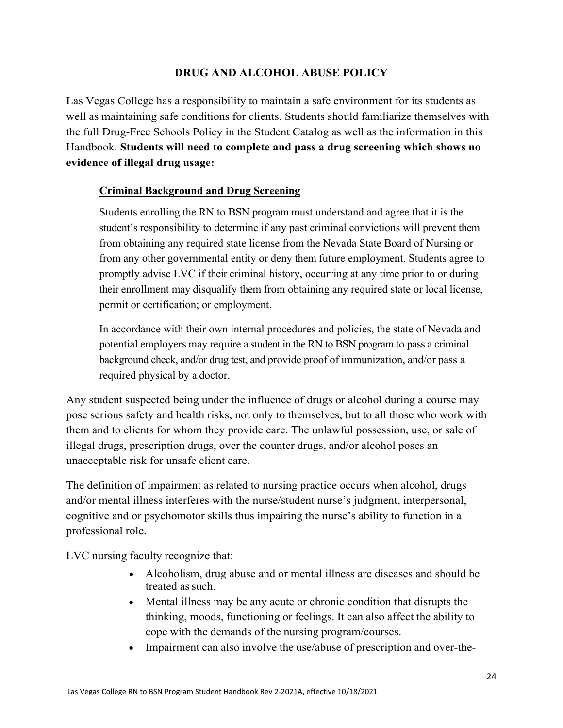### **DRUG AND ALCOHOL ABUSE POLICY**

Las Vegas College has a responsibility to maintain a safe environment for its students as well as maintaining safe conditions for clients. Students should familiarize themselves with the full Drug-Free Schools Policy in the Student Catalog as well as the information in this Handbook. **Students will need to complete and pass a drug screening which shows no evidence of illegal drug usage:** 

### **Criminal Background and Drug Screening**

Students enrolling the RN to BSN program must understand and agree that it is the student's responsibility to determine if any past criminal convictions will prevent them from obtaining any required state license from the Nevada State Board of Nursing or from any other governmental entity or deny them future employment. Students agree to promptly advise LVC if their criminal history, occurring at any time prior to or during their enrollment may disqualify them from obtaining any required state or local license, permit or certification; or employment.

In accordance with their own internal procedures and policies, the state of Nevada and potential employers may require a student in the RN to BSN program to pass a criminal background check, and/or drug test, and provide proof of immunization, and/or pass a required physical by a doctor.

Any student suspected being under the influence of drugs or alcohol during a course may pose serious safety and health risks, not only to themselves, but to all those who work with them and to clients for whom they provide care. The unlawful possession, use, or sale of illegal drugs, prescription drugs, over the counter drugs, and/or alcohol poses an unacceptable risk for unsafe client care.

The definition of impairment as related to nursing practice occurs when alcohol, drugs and/or mental illness interferes with the nurse/student nurse's judgment, interpersonal, cognitive and or psychomotor skills thus impairing the nurse's ability to function in a professional role.

LVC nursing faculty recognize that:

- Alcoholism, drug abuse and or mental illness are diseases and should be treated as such.
- Mental illness may be any acute or chronic condition that disrupts the thinking, moods, functioning or feelings. It can also affect the ability to cope with the demands of the nursing program/courses.
- Impairment can also involve the use/abuse of prescription and over-the-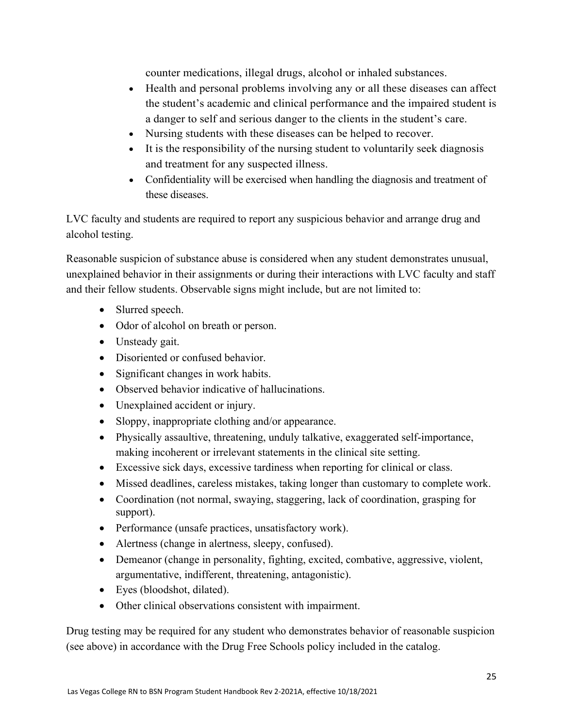counter medications, illegal drugs, alcohol or inhaled substances.

- Health and personal problems involving any or all these diseases can affect the student's academic and clinical performance and the impaired student is a danger to self and serious danger to the clients in the student's care.
- Nursing students with these diseases can be helped to recover.
- It is the responsibility of the nursing student to voluntarily seek diagnosis and treatment for any suspected illness.
- Confidentiality will be exercised when handling the diagnosis and treatment of these diseases.

LVC faculty and students are required to report any suspicious behavior and arrange drug and alcohol testing.

Reasonable suspicion of substance abuse is considered when any student demonstrates unusual, unexplained behavior in their assignments or during their interactions with LVC faculty and staff and their fellow students. Observable signs might include, but are not limited to:

- Slurred speech.
- Odor of alcohol on breath or person.
- Unsteady gait.
- Disoriented or confused behavior.
- Significant changes in work habits.
- Observed behavior indicative of hallucinations.
- Unexplained accident or injury.
- Sloppy, inappropriate clothing and/or appearance.
- Physically assaultive, threatening, unduly talkative, exaggerated self-importance, making incoherent or irrelevant statements in the clinical site setting.
- Excessive sick days, excessive tardiness when reporting for clinical or class.
- Missed deadlines, careless mistakes, taking longer than customary to complete work.
- Coordination (not normal, swaying, staggering, lack of coordination, grasping for support).
- Performance (unsafe practices, unsatisfactory work).
- Alertness (change in alertness, sleepy, confused).
- Demeanor (change in personality, fighting, excited, combative, aggressive, violent, argumentative, indifferent, threatening, antagonistic).
- Eyes (bloodshot, dilated).
- Other clinical observations consistent with impairment.

Drug testing may be required for any student who demonstrates behavior of reasonable suspicion (see above) in accordance with the Drug Free Schools policy included in the catalog.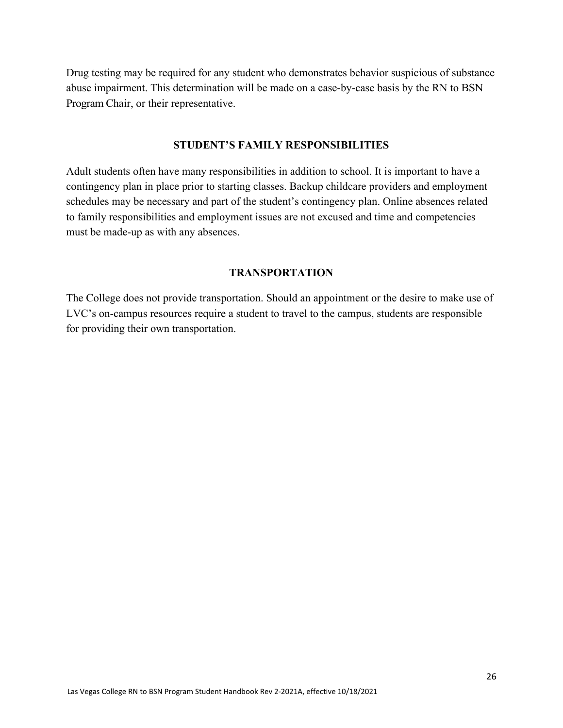Drug testing may be required for any student who demonstrates behavior suspicious of substance abuse impairment. This determination will be made on a case-by-case basis by the RN to BSN Program Chair, or their representative.

#### **STUDENT'S FAMILY RESPONSIBILITIES**

Adult students often have many responsibilities in addition to school. It is important to have a contingency plan in place prior to starting classes. Backup childcare providers and employment schedules may be necessary and part of the student's contingency plan. Online absences related to family responsibilities and employment issues are not excused and time and competencies must be made-up as with any absences.

### **TRANSPORTATION**

The College does not provide transportation. Should an appointment or the desire to make use of LVC's on-campus resources require a student to travel to the campus, students are responsible for providing their own transportation.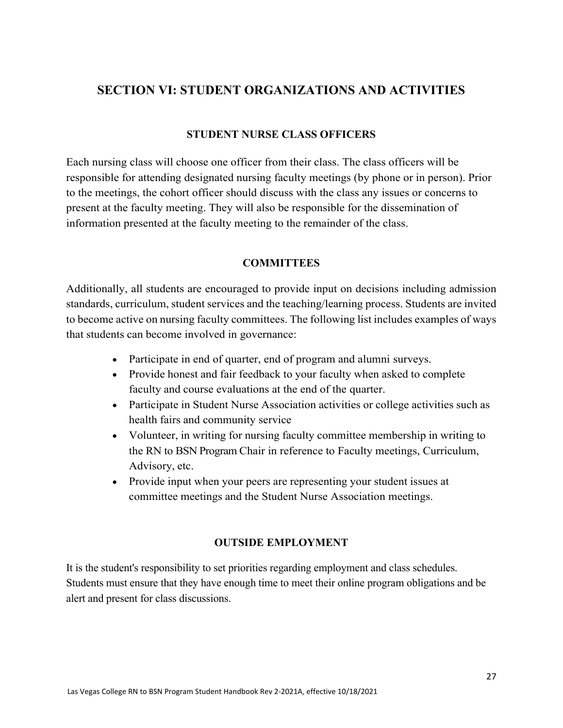# **SECTION VI: STUDENT ORGANIZATIONS AND ACTIVITIES**

#### **STUDENT NURSE CLASS OFFICERS**

Each nursing class will choose one officer from their class. The class officers will be responsible for attending designated nursing faculty meetings (by phone or in person). Prior to the meetings, the cohort officer should discuss with the class any issues or concerns to present at the faculty meeting. They will also be responsible for the dissemination of information presented at the faculty meeting to the remainder of the class.

#### **COMMITTEES**

Additionally, all students are encouraged to provide input on decisions including admission standards, curriculum, student services and the teaching/learning process. Students are invited to become active on nursing faculty committees. The following list includes examples of ways that students can become involved in governance:

- Participate in end of quarter, end of program and alumni surveys.
- Provide honest and fair feedback to your faculty when asked to complete faculty and course evaluations at the end of the quarter.
- Participate in Student Nurse Association activities or college activities such as health fairs and community service
- Volunteer, in writing for nursing faculty committee membership in writing to the RN to BSN Program Chair in reference to Faculty meetings, Curriculum, Advisory, etc.
- Provide input when your peers are representing your student issues at committee meetings and the Student Nurse Association meetings.

## **OUTSIDE EMPLOYMENT**

It is the student's responsibility to set priorities regarding employment and class schedules. Students must ensure that they have enough time to meet their online program obligations and be alert and present for class discussions.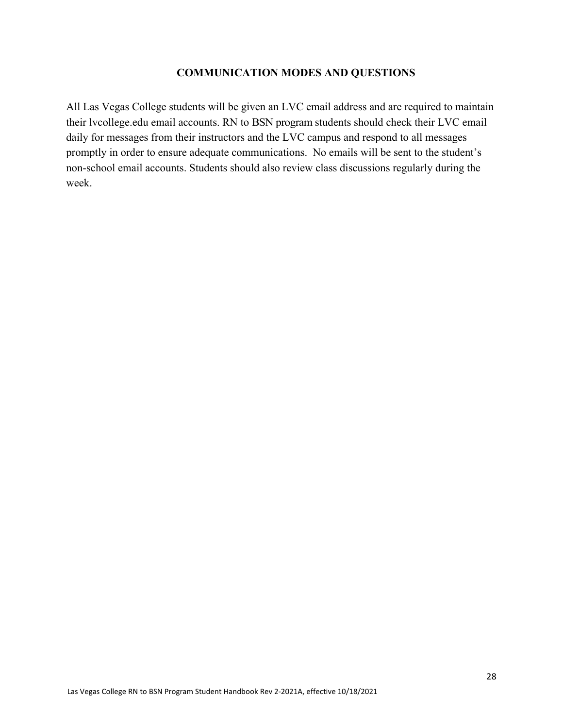#### **COMMUNICATION MODES AND QUESTIONS**

All Las Vegas College students will be given an LVC email address and are required to maintain their lvcollege.edu email accounts. RN to BSN program students should check their LVC email daily for messages from their instructors and the LVC campus and respond to all messages promptly in order to ensure adequate communications. No emails will be sent to the student's non-school email accounts. Students should also review class discussions regularly during the week.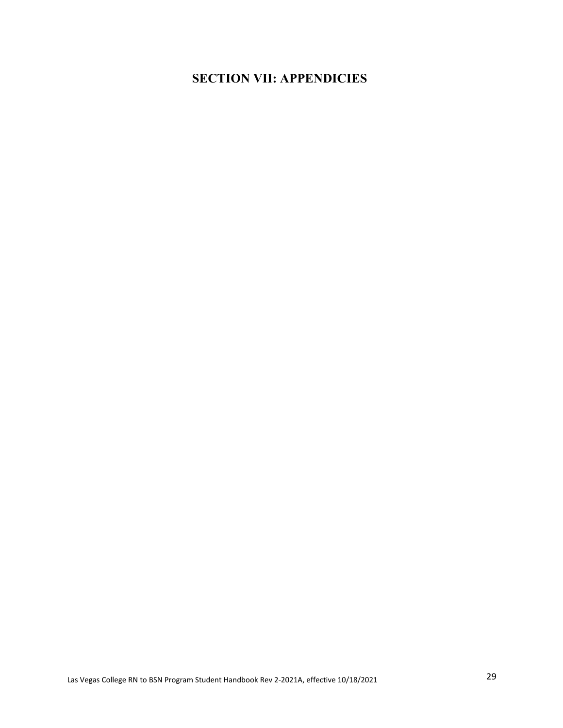# **SECTION VII: APPENDICIES**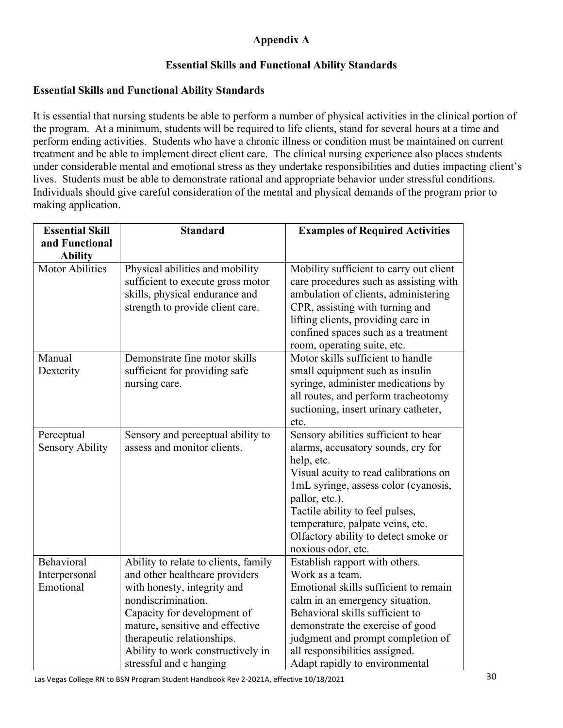# **Appendix A**

## **Essential Skills and Functional Ability Standards**

### **Essential Skills and Functional Ability Standards**

It is essential that nursing students be able to perform a number of physical activities in the clinical portion of the program. At a minimum, students will be required to life clients, stand for several hours at a time and perform ending activities. Students who have a chronic illness or condition must be maintained on current treatment and be able to implement direct client care. The clinical nursing experience also places students under considerable mental and emotional stress as they undertake responsibilities and duties impacting client's lives. Students must be able to demonstrate rational and appropriate behavior under stressful conditions. Individuals should give careful consideration of the mental and physical demands of the program prior to making application.

| <b>Essential Skill</b> | <b>Standard</b>                                                                                                                            | <b>Examples of Required Activities</b>                                                                                                                                                                                                                                   |
|------------------------|--------------------------------------------------------------------------------------------------------------------------------------------|--------------------------------------------------------------------------------------------------------------------------------------------------------------------------------------------------------------------------------------------------------------------------|
| and Functional         |                                                                                                                                            |                                                                                                                                                                                                                                                                          |
| <b>Ability</b>         |                                                                                                                                            |                                                                                                                                                                                                                                                                          |
| <b>Motor Abilities</b> | Physical abilities and mobility<br>sufficient to execute gross motor<br>skills, physical endurance and<br>strength to provide client care. | Mobility sufficient to carry out client<br>care procedures such as assisting with<br>ambulation of clients, administering<br>CPR, assisting with turning and<br>lifting clients, providing care in<br>confined spaces such as a treatment<br>room, operating suite, etc. |
| Manual                 | Demonstrate fine motor skills                                                                                                              | Motor skills sufficient to handle                                                                                                                                                                                                                                        |
| Dexterity              | sufficient for providing safe                                                                                                              | small equipment such as insulin                                                                                                                                                                                                                                          |
|                        | nursing care.                                                                                                                              | syringe, administer medications by                                                                                                                                                                                                                                       |
|                        |                                                                                                                                            | all routes, and perform tracheotomy<br>suctioning, insert urinary catheter,                                                                                                                                                                                              |
|                        |                                                                                                                                            | etc.                                                                                                                                                                                                                                                                     |
| Perceptual             | Sensory and perceptual ability to                                                                                                          | Sensory abilities sufficient to hear                                                                                                                                                                                                                                     |
| <b>Sensory Ability</b> | assess and monitor clients.                                                                                                                | alarms, accusatory sounds, cry for                                                                                                                                                                                                                                       |
|                        |                                                                                                                                            | help, etc.                                                                                                                                                                                                                                                               |
|                        |                                                                                                                                            | Visual acuity to read calibrations on                                                                                                                                                                                                                                    |
|                        |                                                                                                                                            | 1mL syringe, assess color (cyanosis,                                                                                                                                                                                                                                     |
|                        |                                                                                                                                            | pallor, etc.).                                                                                                                                                                                                                                                           |
|                        |                                                                                                                                            | Tactile ability to feel pulses,                                                                                                                                                                                                                                          |
|                        |                                                                                                                                            | temperature, palpate veins, etc.                                                                                                                                                                                                                                         |
|                        |                                                                                                                                            | Olfactory ability to detect smoke or<br>noxious odor, etc.                                                                                                                                                                                                               |
| Behavioral             | Ability to relate to clients, family                                                                                                       | Establish rapport with others.                                                                                                                                                                                                                                           |
| Interpersonal          | and other healthcare providers                                                                                                             | Work as a team.                                                                                                                                                                                                                                                          |
| Emotional              | with honesty, integrity and                                                                                                                | Emotional skills sufficient to remain                                                                                                                                                                                                                                    |
|                        | nondiscrimination.                                                                                                                         | calm in an emergency situation.                                                                                                                                                                                                                                          |
|                        | Capacity for development of                                                                                                                | Behavioral skills sufficient to                                                                                                                                                                                                                                          |
|                        | mature, sensitive and effective                                                                                                            | demonstrate the exercise of good                                                                                                                                                                                                                                         |
|                        | therapeutic relationships.                                                                                                                 | judgment and prompt completion of                                                                                                                                                                                                                                        |
|                        | Ability to work constructively in                                                                                                          | all responsibilities assigned.                                                                                                                                                                                                                                           |
|                        | stressful and c hanging                                                                                                                    | Adapt rapidly to environmental                                                                                                                                                                                                                                           |

Las Vegas College RN to BSN Program Student Handbook Rev 2-2021A, effective 10/18/2021 30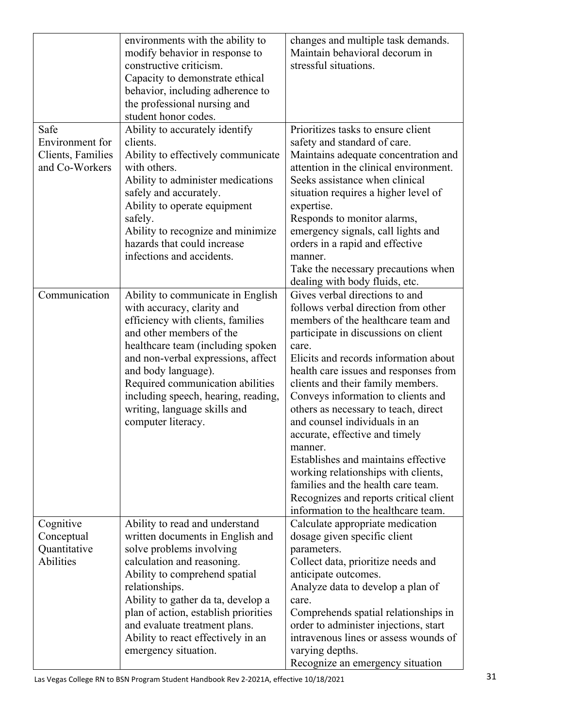|                                                        | environments with the ability to<br>modify behavior in response to<br>constructive criticism.<br>Capacity to demonstrate ethical<br>behavior, including adherence to<br>the professional nursing and<br>student honor codes.                                                                                                                                        | changes and multiple task demands.<br>Maintain behavioral decorum in<br>stressful situations.                                                                                                                                                                                                                                                                                                                                                                                                                                                                                                                                                        |
|--------------------------------------------------------|---------------------------------------------------------------------------------------------------------------------------------------------------------------------------------------------------------------------------------------------------------------------------------------------------------------------------------------------------------------------|------------------------------------------------------------------------------------------------------------------------------------------------------------------------------------------------------------------------------------------------------------------------------------------------------------------------------------------------------------------------------------------------------------------------------------------------------------------------------------------------------------------------------------------------------------------------------------------------------------------------------------------------------|
| Safe                                                   | Ability to accurately identify                                                                                                                                                                                                                                                                                                                                      | Prioritizes tasks to ensure client                                                                                                                                                                                                                                                                                                                                                                                                                                                                                                                                                                                                                   |
| Environment for<br>Clients, Families<br>and Co-Workers | clients.<br>Ability to effectively communicate<br>with others.<br>Ability to administer medications<br>safely and accurately.<br>Ability to operate equipment<br>safely.<br>Ability to recognize and minimize<br>hazards that could increase<br>infections and accidents.                                                                                           | safety and standard of care.<br>Maintains adequate concentration and<br>attention in the clinical environment.<br>Seeks assistance when clinical<br>situation requires a higher level of<br>expertise.<br>Responds to monitor alarms,<br>emergency signals, call lights and<br>orders in a rapid and effective<br>manner.                                                                                                                                                                                                                                                                                                                            |
|                                                        |                                                                                                                                                                                                                                                                                                                                                                     | Take the necessary precautions when<br>dealing with body fluids, etc.                                                                                                                                                                                                                                                                                                                                                                                                                                                                                                                                                                                |
| Communication                                          | Ability to communicate in English<br>with accuracy, clarity and<br>efficiency with clients, families<br>and other members of the<br>healthcare team (including spoken<br>and non-verbal expressions, affect<br>and body language).<br>Required communication abilities<br>including speech, hearing, reading,<br>writing, language skills and<br>computer literacy. | Gives verbal directions to and<br>follows verbal direction from other<br>members of the healthcare team and<br>participate in discussions on client<br>care.<br>Elicits and records information about<br>health care issues and responses from<br>clients and their family members.<br>Conveys information to clients and<br>others as necessary to teach, direct<br>and counsel individuals in an<br>accurate, effective and timely<br>manner.<br>Establishes and maintains effective<br>working relationships with clients,<br>families and the health care team.<br>Recognizes and reports critical client<br>information to the healthcare team. |
| Cognitive<br>Conceptual<br>Quantitative<br>Abilities   | Ability to read and understand<br>written documents in English and<br>solve problems involving<br>calculation and reasoning.<br>Ability to comprehend spatial<br>relationships.<br>Ability to gather da ta, develop a<br>plan of action, establish priorities<br>and evaluate treatment plans.<br>Ability to react effectively in an<br>emergency situation.        | Calculate appropriate medication<br>dosage given specific client<br>parameters.<br>Collect data, prioritize needs and<br>anticipate outcomes.<br>Analyze data to develop a plan of<br>care.<br>Comprehends spatial relationships in<br>order to administer injections, start<br>intravenous lines or assess wounds of<br>varying depths.<br>Recognize an emergency situation                                                                                                                                                                                                                                                                         |

Las Vegas College RN to BSN Program Student Handbook Rev 2-2021A, effective 10/18/2021 31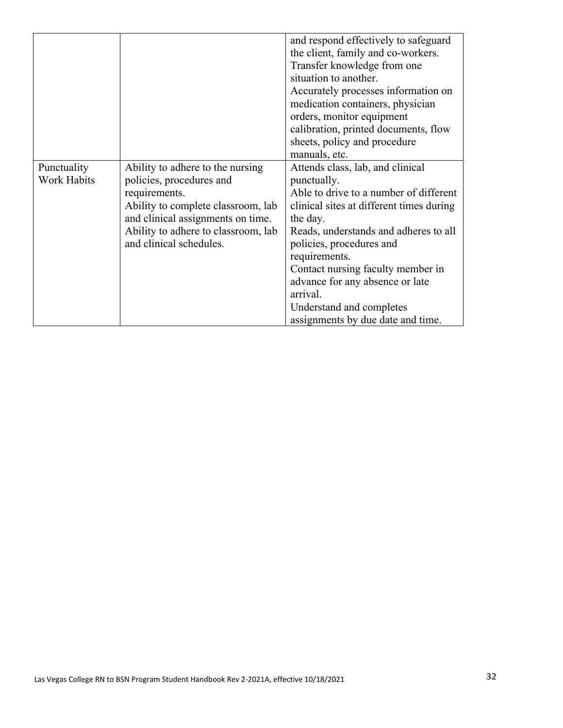|             |                                     | and respond effectively to safeguard     |
|-------------|-------------------------------------|------------------------------------------|
|             |                                     | the client, family and co-workers.       |
|             |                                     | Transfer knowledge from one              |
|             |                                     | situation to another.                    |
|             |                                     | Accurately processes information on      |
|             |                                     | medication containers, physician         |
|             |                                     | orders, monitor equipment                |
|             |                                     | calibration, printed documents, flow     |
|             |                                     | sheets, policy and procedure             |
|             |                                     | manuals, etc.                            |
| Punctuality | Ability to adhere to the nursing    | Attends class, lab, and clinical         |
| Work Habits | policies, procedures and            | punctually.                              |
|             | requirements.                       | Able to drive to a number of different   |
|             | Ability to complete classroom, lab  | clinical sites at different times during |
|             | and clinical assignments on time.   | the day.                                 |
|             | Ability to adhere to classroom, lab | Reads, understands and adheres to all    |
|             | and clinical schedules.             | policies, procedures and                 |
|             |                                     | requirements.                            |
|             |                                     | Contact nursing faculty member in        |
|             |                                     | advance for any absence or late          |
|             |                                     | arrival.                                 |
|             |                                     | Understand and completes                 |
|             |                                     | assignments by due date and time.        |